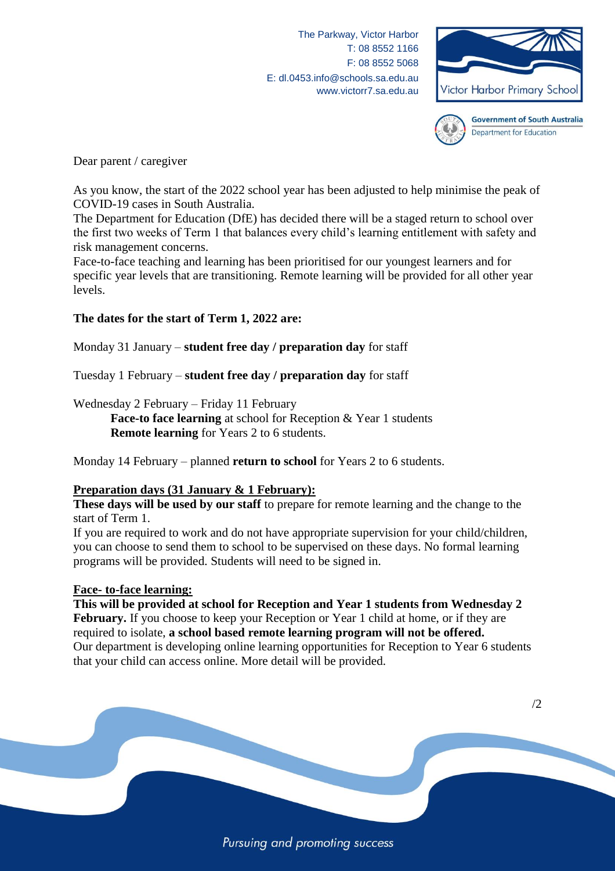The Parkway, Victor Harbor T: 08 8552 1166 F: 08 8552 5068 E: dl.0453.info@schools.sa.edu.au www.victorr7.sa.edu.au





**Government of South Australia** Department for Education

Dear parent / caregiver

As you know, the start of the 2022 school year has been adjusted to help minimise the peak of COVID-19 cases in South Australia.

The Department for Education (DfE) has decided there will be a staged return to school over the first two weeks of Term 1 that balances every child's learning entitlement with safety and risk management concerns.

Face-to-face teaching and learning has been prioritised for our youngest learners and for specific year levels that are transitioning. Remote learning will be provided for all other year levels.

# **The dates for the start of Term 1, 2022 are:**

Monday 31 January – **student free day / preparation day** for staff

Tuesday 1 February – **student free day / preparation day** for staff

Wednesday 2 February – Friday 11 February

**Face-to face learning** at school for Reception & Year 1 students **Remote learning** for Years 2 to 6 students.

Monday 14 February – planned **return to school** for Years 2 to 6 students.

## **Preparation days (31 January & 1 February):**

**These days will be used by our staff** to prepare for remote learning and the change to the start of Term 1.

If you are required to work and do not have appropriate supervision for your child/children, you can choose to send them to school to be supervised on these days. No formal learning programs will be provided. Students will need to be signed in.

#### **Face- to-face learning:**

**This will be provided at school for Reception and Year 1 students from Wednesday 2 February.** If you choose to keep your Reception or Year 1 child at home, or if they are required to isolate, **a school based remote learning program will not be offered.** Our department is developing online learning opportunities for Reception to Year 6 students that your child can access online. More detail will be provided.

Pursuing and promoting success